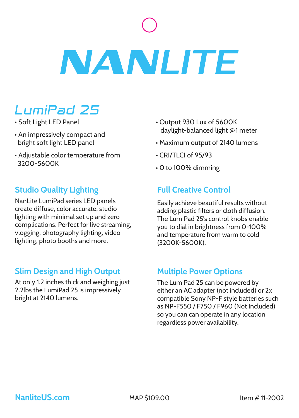# **NANLITE**

# LumiPad 25

- Soft Light LED Panel
- An impressively compact and bright soft light LED panel
- Adjustable color temperature from 3200-5600K

# **Studio Quality Lighting**

NanLite LumiPad series LED panels create diffuse, color accurate, studio lighting with minimal set up and zero complications. Perfect for live streaming, vlogging, photography lighting, video lighting, photo booths and more.

### **Slim Design and High Output**

At only 1.2 inches thick and weighing just 2.2lbs the LumiPad 25 is impressively bright at 2140 lumens.

- Output 930 Lux of 5600K daylight-balanced light **@** 1 meter
- Maximum output of 2140 lumens
- CRI/TLCI of 95/93
- 0 to 100% dimming

## **Full Creative Control**

Easily achieve beautiful results without adding plastic filters or cloth diffusion. The LumiPad 25's control knobs enable you to dial in brightness from 0-100% and temperature from warm to cold (3200K-5600K).

### **Multiple Power Options**

The LumiPad 25 can be powered by either an AC adapter (not included) or 2x compatible Sony NP-F style batteries such as NP-F550 / F750 / F960 (Not Included) so you can can operate in any location regardless power availability.